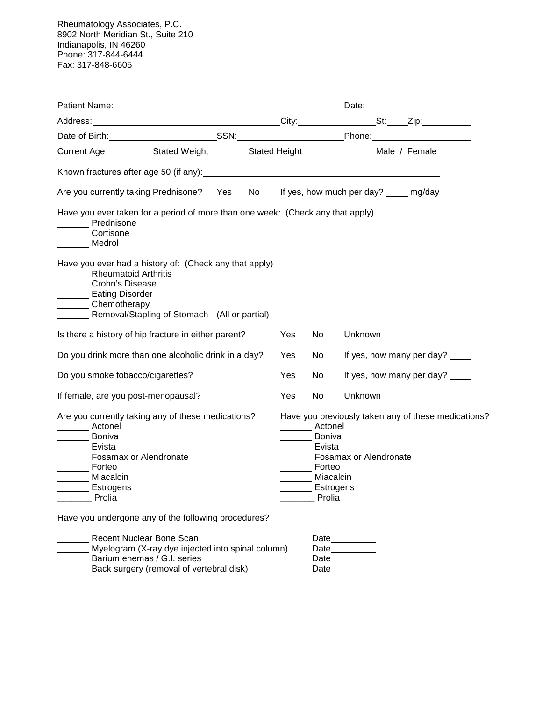Rheumatology Associates, P.C. 8902 North Meridian St., Suite 210 Indianapolis, IN 46260 Phone: 317-844-6444 Fax: 317-848-6605

| Address: St: Zip:                                                                                                                                                                                                                          |      |                                                                                                                    |         |  |                                                     |
|--------------------------------------------------------------------------------------------------------------------------------------------------------------------------------------------------------------------------------------------|------|--------------------------------------------------------------------------------------------------------------------|---------|--|-----------------------------------------------------|
| Date of Birth: SSN: SSN: Phone: Phone:                                                                                                                                                                                                     |      |                                                                                                                    |         |  |                                                     |
| Current Age __________ Stated Weight ________ Stated Height __________ Male / Female                                                                                                                                                       |      |                                                                                                                    |         |  |                                                     |
| Known fractures after age 50 (if any): Notified the state of the state of the state of the state of the state of the state of the state of the state of the state of the state of the state of the state of the state of the s             |      |                                                                                                                    |         |  |                                                     |
| No<br>Are you currently taking Prednisone? Yes                                                                                                                                                                                             |      |                                                                                                                    |         |  | If yes, how much per day? ____ mg/day               |
| Have you ever taken for a period of more than one week: (Check any that apply)<br>Prednisone<br>Cortisone<br>Medrol                                                                                                                        |      |                                                                                                                    |         |  |                                                     |
| Have you ever had a history of: (Check any that apply)<br>Rheumatoid Arthritis<br>Crohn's Disease<br><b>Eating Disorder</b><br>Chemotherapy<br>Removal/Stapling of Stomach (All or partial)                                                |      |                                                                                                                    |         |  |                                                     |
| Is there a history of hip fracture in either parent?                                                                                                                                                                                       | Yes. | No                                                                                                                 | Unknown |  |                                                     |
| Do you drink more than one alcoholic drink in a day?                                                                                                                                                                                       | Yes. | No                                                                                                                 |         |  | If yes, how many per day?                           |
| Do you smoke tobacco/cigarettes?                                                                                                                                                                                                           | Yes  | No                                                                                                                 |         |  | If yes, how many per day?                           |
| If female, are you post-menopausal?                                                                                                                                                                                                        | Yes  | <b>No</b>                                                                                                          | Unknown |  |                                                     |
| Are you currently taking any of these medications?<br>Actonel<br><b>None Boniva</b><br>Evista<br><b>Fosamax or Alendronate</b><br>Forteo<br>Miacalcin<br>Estrogens<br><b>Prolia</b><br>Have you undergone any of the following procedures? |      | Actonel<br>Boniva<br>Evista<br><b>Fosamax or Alendronate</b><br>_______ Forteo<br>Miacalcin<br>Estrogens<br>Prolia |         |  | Have you previously taken any of these medications? |

| Recent Nuclear Bone Scan                          | Date |
|---------------------------------------------------|------|
| Myelogram (X-ray dye injected into spinal column) | Date |
| Barium enemas / G.I. series                       | Date |
| Back surgery (removal of vertebral disk)          | Date |